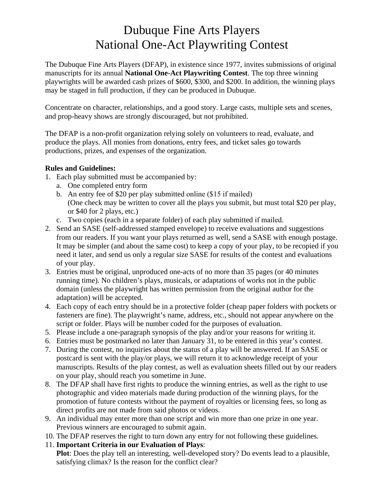## Dubuque Fine Arts Players National One-Act Playwriting Contest

The Dubuque Fine Arts Players (DFAP), in existence since 1977, invites submissions of original manuscripts for its annual **National One-Act Playwriting Contest**. The top three winning playwrights will be awarded cash prizes of \$600, \$300, and \$200. In addition, the winning plays may be staged in full production, if they can be produced in Dubuque.

Concentrate on character, relationships, and a good story. Large casts, multiple sets and scenes, and prop-heavy shows are strongly discouraged, but not prohibited.

The DFAP is a non-profit organization relying solely on volunteers to read, evaluate, and produce the plays. All monies from donations, entry fees, and ticket sales go towards productions, prizes, and expenses of the organization.

## **Rules and Guidelines:**

- 1. Each play submitted must be accompanied by:
	- a. One completed entry form
	- b. An entry fee of \$20 per play submitted online (\$15 if mailed) (One check may be written to cover all the plays you submit, but must total \$20 per play, or \$40 for 2 plays, etc.)
	- c. Two copies (each in a separate folder) of each play submitted if mailed.
- 2. Send an SASE (self-addressed stamped envelope) to receive evaluations and suggestions from our readers. If you want your plays returned as well, send a SASE with enough postage. It may be simpler (and about the same cost) to keep a copy of your play, to be recopied if you need it later, and send us only a regular size SASE for results of the contest and evaluations of your play.
- 3. Entries must be original, unproduced one-acts of no more than 35 pages (or 40 minutes running time). No children's plays, musicals, or adaptations of works not in the public domain (unless the playwright has written permission from the original author for the adaptation) will be accepted.
- 4. Each copy of each entry should be in a protective folder (cheap paper folders with pockets or fasteners are fine). The playwright's name, address, etc., should not appear anywhere on the script or folder. Plays will be number coded for the purposes of evaluation.
- 5. Please include a one-paragraph synopsis of the play and/or your reasons for writing it.
- 6. Entries must be postmarked no later than January 31, to be entered in this year's contest.
- 7. During the contest, no inquiries about the status of a play will be answered. If an SASE or postcard is sent with the play/or plays, we will return it to acknowledge receipt of your manuscripts. Results of the play contest, as well as evaluation sheets filled out by our readers on your play, should reach you sometime in June.
- 8. The DFAP shall have first rights to produce the winning entries, as well as the right to use photographic and video materials made during production of the winning plays, for the promotion of future contests without the payment of royalties or licensing fees, so long as direct profits are not made from said photos or videos.
- 9. An individual may enter more than one script and win more than one prize in one year. Previous winners are encouraged to submit again.
- 10. The DFAP reserves the right to turn down any entry for not following these guidelines.
- 11. **Important Criteria in our Evaluation of Plays**:

**Plot**: Does the play tell an interesting, well-developed story? Do events lead to a plausible, satisfying climax? Is the reason for the conflict clear?